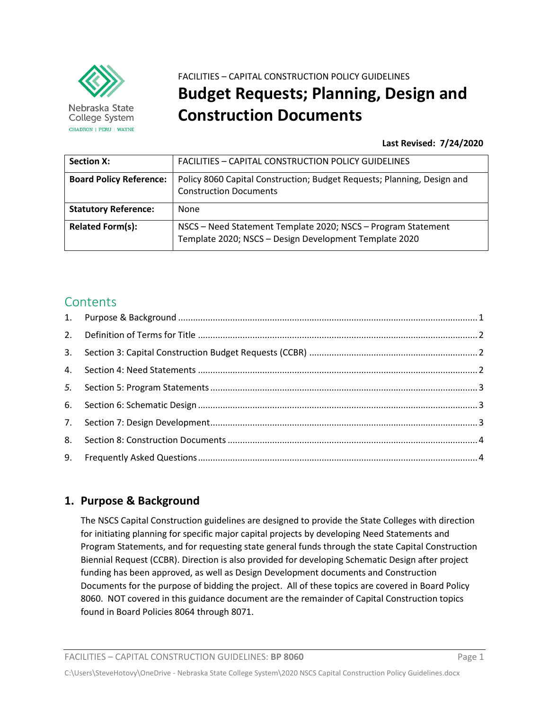

Nebraska State College System CHADRON | PERU | WAYNE

# FACILITIES – CAPITAL CONSTRUCTION POLICY GUIDELINES **Budget Requests; Planning, Design and Construction Documents**

**Last Revised: 7/24/2020**

| <b>Section X:</b>              | FACILITIES - CAPITAL CONSTRUCTION POLICY GUIDELINES                                                                     |
|--------------------------------|-------------------------------------------------------------------------------------------------------------------------|
| <b>Board Policy Reference:</b> | Policy 8060 Capital Construction; Budget Requests; Planning, Design and<br><b>Construction Documents</b>                |
| <b>Statutory Reference:</b>    | None                                                                                                                    |
| <b>Related Form(s):</b>        | NSCS - Need Statement Template 2020; NSCS - Program Statement<br>Template 2020; NSCS - Design Development Template 2020 |

## **Contents**

| 8. |  |
|----|--|
|    |  |

## <span id="page-0-0"></span>**1. Purpose & Background**

The NSCS Capital Construction guidelines are designed to provide the State Colleges with direction for initiating planning for specific major capital projects by developing Need Statements and Program Statements, and for requesting state general funds through the state Capital Construction Biennial Request (CCBR). Direction is also provided for developing Schematic Design after project funding has been approved, as well as Design Development documents and Construction Documents for the purpose of bidding the project. All of these topics are covered in Board Policy 8060. NOT covered in this guidance document are the remainder of Capital Construction topics found in Board Policies 8064 through 8071.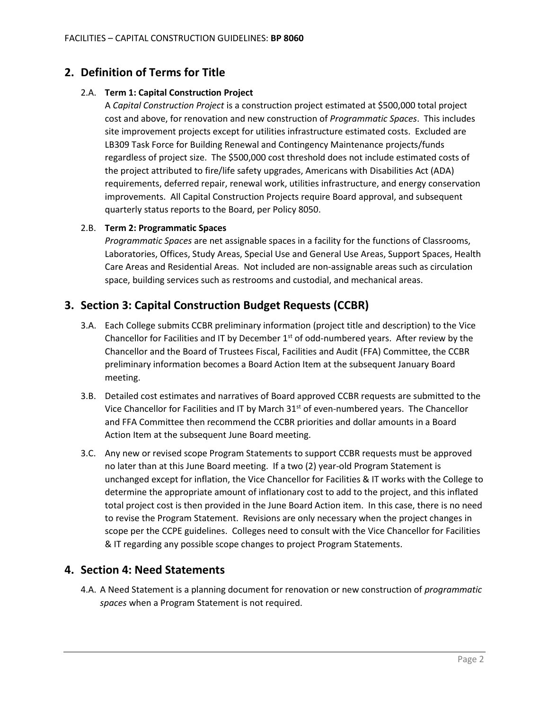## <span id="page-1-0"></span>**2. Definition of Terms for Title**

#### 2.A. **Term 1: Capital Construction Project**

A *Capital Construction Project* is a construction project estimated at \$500,000 total project cost and above, for renovation and new construction of *Programmatic Spaces*. This includes site improvement projects except for utilities infrastructure estimated costs. Excluded are LB309 Task Force for Building Renewal and Contingency Maintenance projects/funds regardless of project size. The \$500,000 cost threshold does not include estimated costs of the project attributed to fire/life safety upgrades, Americans with Disabilities Act (ADA) requirements, deferred repair, renewal work, utilities infrastructure, and energy conservation improvements. All Capital Construction Projects require Board approval, and subsequent quarterly status reports to the Board, per Policy 8050.

#### 2.B. **Term 2: Programmatic Spaces**

*Programmatic Spaces* are net assignable spaces in a facility for the functions of Classrooms, Laboratories, Offices, Study Areas, Special Use and General Use Areas, Support Spaces, Health Care Areas and Residential Areas. Not included are non-assignable areas such as circulation space, building services such as restrooms and custodial, and mechanical areas.

## <span id="page-1-1"></span>**3. Section 3: Capital Construction Budget Requests (CCBR)**

- 3.A. Each College submits CCBR preliminary information (project title and description) to the Vice Chancellor for Facilities and IT by December  $1<sup>st</sup>$  of odd-numbered years. After review by the Chancellor and the Board of Trustees Fiscal, Facilities and Audit (FFA) Committee, the CCBR preliminary information becomes a Board Action Item at the subsequent January Board meeting.
- 3.B. Detailed cost estimates and narratives of Board approved CCBR requests are submitted to the Vice Chancellor for Facilities and IT by March  $31<sup>st</sup>$  of even-numbered years. The Chancellor and FFA Committee then recommend the CCBR priorities and dollar amounts in a Board Action Item at the subsequent June Board meeting.
- 3.C. Any new or revised scope Program Statements to support CCBR requests must be approved no later than at this June Board meeting. If a two (2) year-old Program Statement is unchanged except for inflation, the Vice Chancellor for Facilities & IT works with the College to determine the appropriate amount of inflationary cost to add to the project, and this inflated total project cost is then provided in the June Board Action item. In this case, there is no need to revise the Program Statement. Revisions are only necessary when the project changes in scope per the CCPE guidelines. Colleges need to consult with the Vice Chancellor for Facilities & IT regarding any possible scope changes to project Program Statements.

## <span id="page-1-2"></span>**4. Section 4: Need Statements**

4.A. A Need Statement is a planning document for renovation or new construction of *programmatic spaces* when a Program Statement is not required.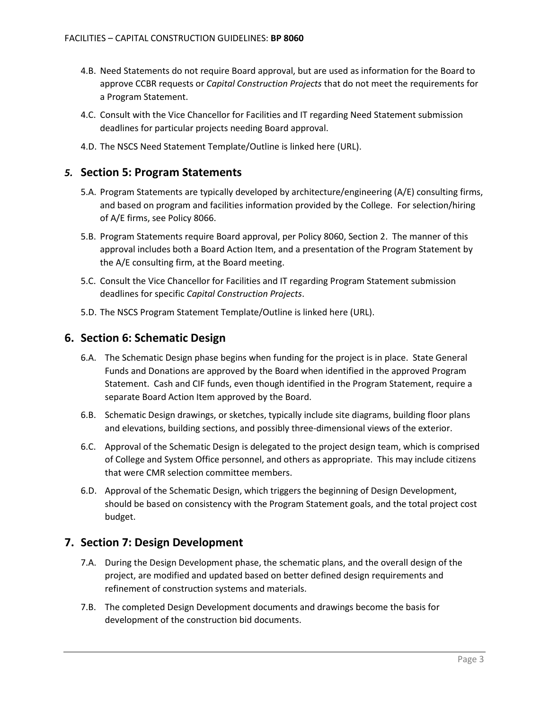- 4.B. Need Statements do not require Board approval, but are used as information for the Board to approve CCBR requests or *Capital Construction Projects* that do not meet the requirements for a Program Statement.
- 4.C. Consult with the Vice Chancellor for Facilities and IT regarding Need Statement submission deadlines for particular projects needing Board approval.
- 4.D. The NSCS Need Statement Template/Outline is linked here (URL).

#### <span id="page-2-0"></span>*5.* **Section 5: Program Statements**

- 5.A. Program Statements are typically developed by architecture/engineering (A/E) consulting firms, and based on program and facilities information provided by the College. For selection/hiring of A/E firms, see Policy 8066.
- 5.B. Program Statements require Board approval, per Policy 8060, Section 2. The manner of this approval includes both a Board Action Item, and a presentation of the Program Statement by the A/E consulting firm, at the Board meeting.
- 5.C. Consult the Vice Chancellor for Facilities and IT regarding Program Statement submission deadlines for specific *Capital Construction Projects*.
- 5.D. The NSCS Program Statement Template/Outline is linked here (URL).

#### <span id="page-2-1"></span>**6. Section 6: Schematic Design**

- 6.A. The Schematic Design phase begins when funding for the project is in place. State General Funds and Donations are approved by the Board when identified in the approved Program Statement. Cash and CIF funds, even though identified in the Program Statement, require a separate Board Action Item approved by the Board.
- 6.B. Schematic Design drawings, or sketches, typically include site diagrams, building floor plans and elevations, building sections, and possibly three-dimensional views of the exterior.
- 6.C. Approval of the Schematic Design is delegated to the project design team, which is comprised of College and System Office personnel, and others as appropriate. This may include citizens that were CMR selection committee members.
- 6.D. Approval of the Schematic Design, which triggers the beginning of Design Development, should be based on consistency with the Program Statement goals, and the total project cost budget.

#### <span id="page-2-2"></span>**7. Section 7: Design Development**

- 7.A. During the Design Development phase, the schematic plans, and the overall design of the project, are modified and updated based on better defined design requirements and refinement of construction systems and materials.
- 7.B. The completed Design Development documents and drawings become the basis for development of the construction bid documents.